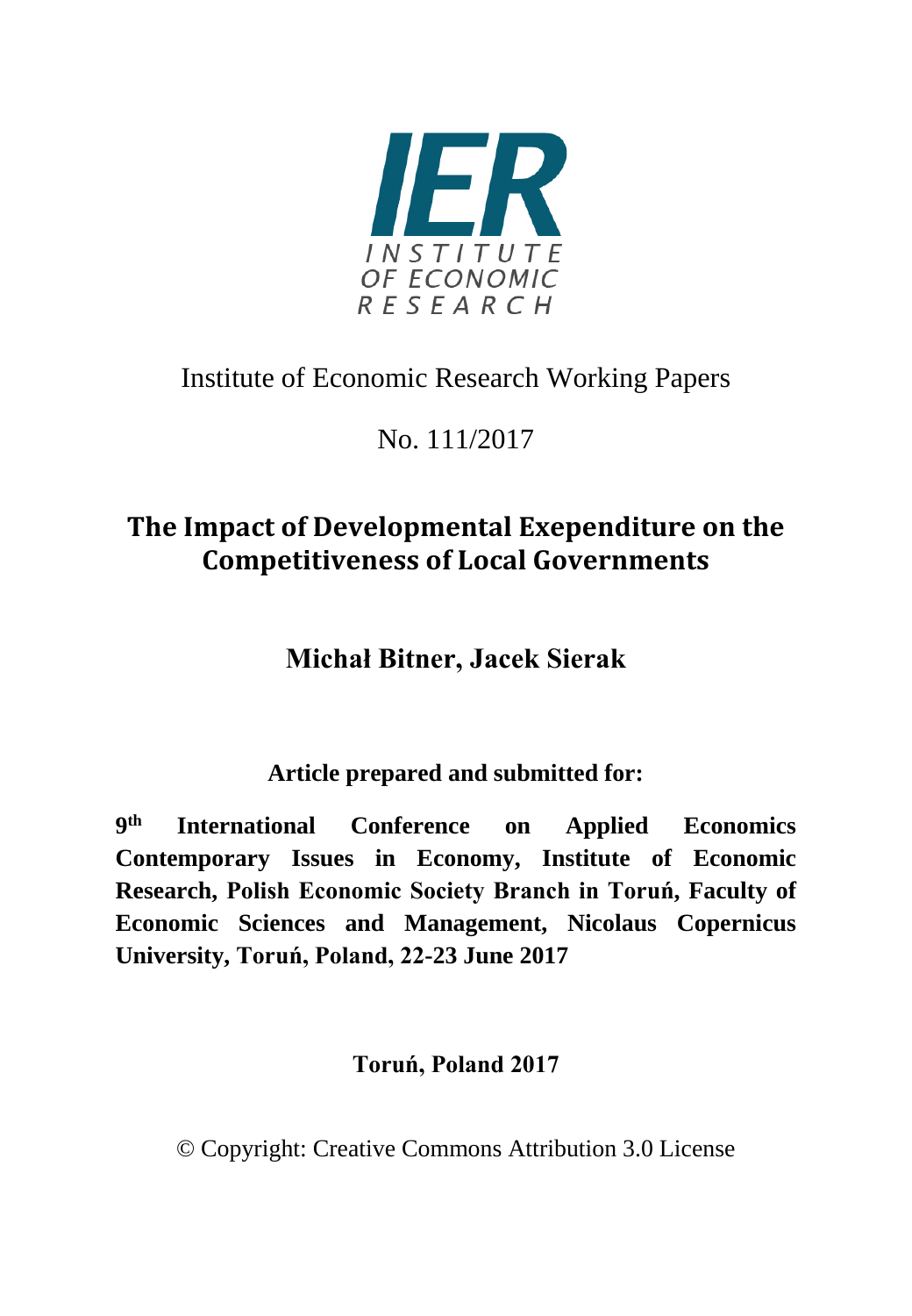

# Institute of Economic Research Working Papers

No. 111/2017

# **The Impact of Developmental Exependiture on the Competitiveness of Local Governments**

**Michał Bitner, Jacek Sierak**

**Article prepared and submitted for:**

**9th International Conference on Applied Economics Contemporary Issues in Economy, Institute of Economic Research, Polish Economic Society Branch in Toruń, Faculty of Economic Sciences and Management, Nicolaus Copernicus University, Toruń, Poland, 22-23 June 2017**

## **Toruń, Poland 2017**

© Copyright: Creative Commons Attribution 3.0 License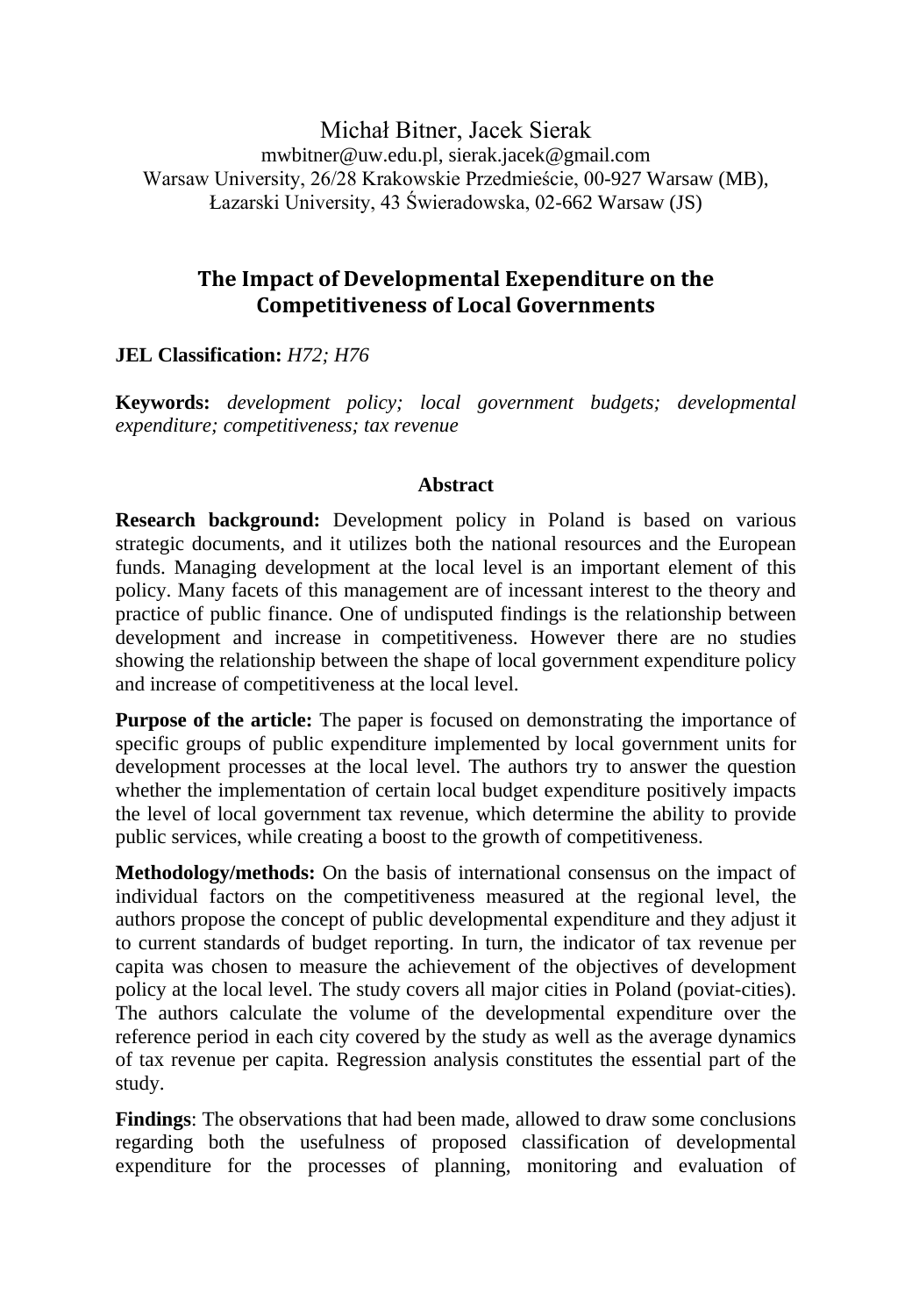Michał Bitner, Jacek Sierak mwbitner@uw.edu.pl, sierak.jacek@gmail.com Warsaw University, 26/28 Krakowskie Przedmieście, 00-927 Warsaw (MB), Łazarski University, 43 Świeradowska, 02-662 Warsaw (JS)

#### **The Impact of Developmental Exependiture on the Competitiveness of Local Governments**

**JEL Classification:** *H72; H76*

**Keywords:** *development policy; local government budgets; developmental expenditure; competitiveness; tax revenue*

#### **Abstract**

**Research background:** Development policy in Poland is based on various strategic documents, and it utilizes both the national resources and the European funds. Managing development at the local level is an important element of this policy. Many facets of this management are of incessant interest to the theory and practice of public finance. One of undisputed findings is the relationship between development and increase in competitiveness. However there are no studies showing the relationship between the shape of local government expenditure policy and increase of competitiveness at the local level.

**Purpose of the article:** The paper is focused on demonstrating the importance of specific groups of public expenditure implemented by local government units for development processes at the local level. The authors try to answer the question whether the implementation of certain local budget expenditure positively impacts the level of local government tax revenue, which determine the ability to provide public services, while creating a boost to the growth of competitiveness.

**Methodology/methods:** On the basis of international consensus on the impact of individual factors on the competitiveness measured at the regional level, the authors propose the concept of public developmental expenditure and they adjust it to current standards of budget reporting. In turn, the indicator of tax revenue per capita was chosen to measure the achievement of the objectives of development policy at the local level. The study covers all major cities in Poland (poviat-cities). The authors calculate the volume of the developmental expenditure over the reference period in each city covered by the study as well as the average dynamics of tax revenue per capita. Regression analysis constitutes the essential part of the study.

**Findings**: The observations that had been made, allowed to draw some conclusions regarding both the usefulness of proposed classification of developmental expenditure for the processes of planning, monitoring and evaluation of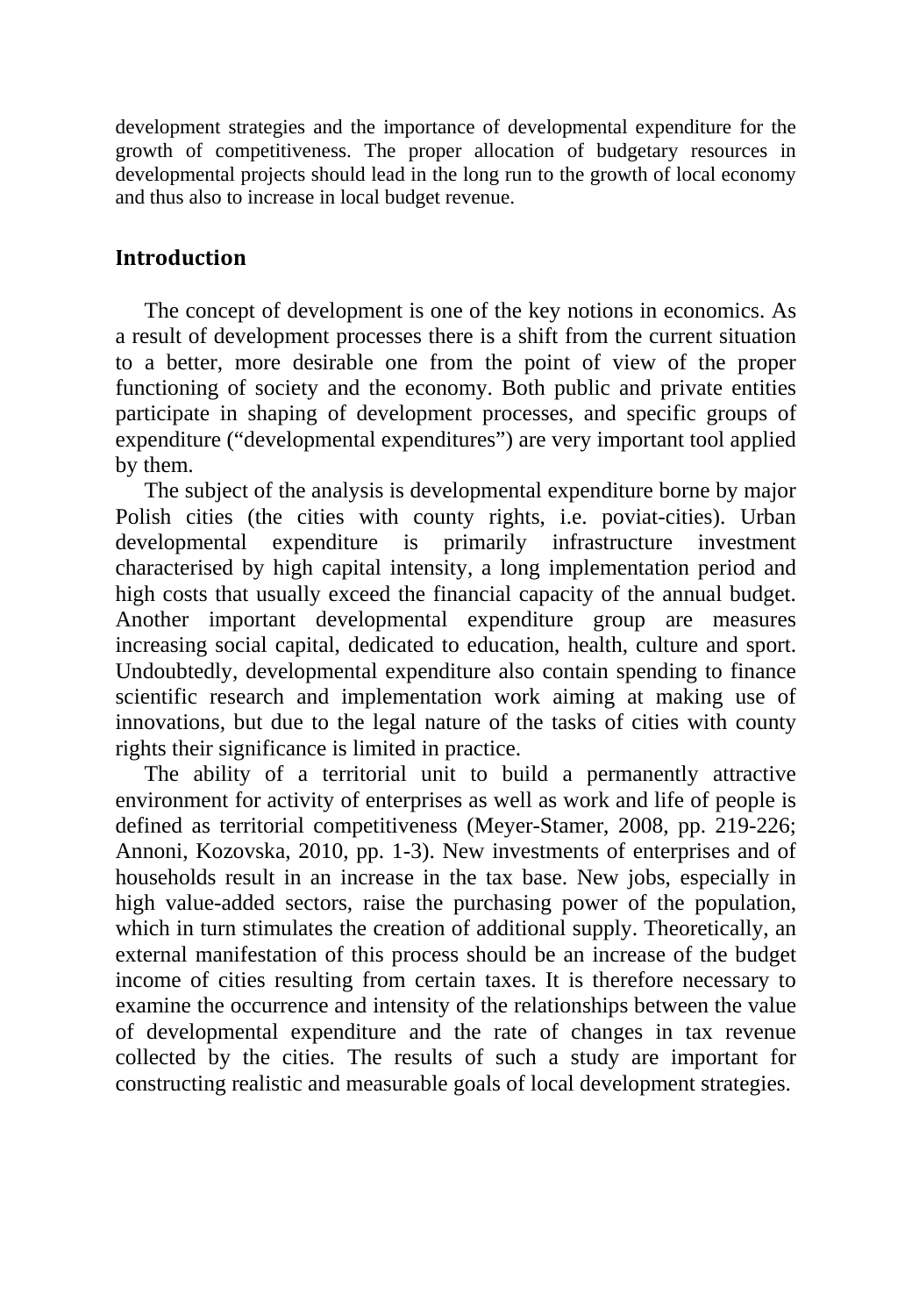development strategies and the importance of developmental expenditure for the growth of competitiveness. The proper allocation of budgetary resources in developmental projects should lead in the long run to the growth of local economy and thus also to increase in local budget revenue.

#### **Introduction**

The concept of development is one of the key notions in economics. As a result of development processes there is a shift from the current situation to a better, more desirable one from the point of view of the proper functioning of society and the economy. Both public and private entities participate in shaping of development processes, and specific groups of expenditure ("developmental expenditures") are very important tool applied by them.

The subject of the analysis is developmental expenditure borne by major Polish cities (the cities with county rights, i.e. poviat-cities). Urban developmental expenditure is primarily infrastructure investment characterised by high capital intensity, a long implementation period and high costs that usually exceed the financial capacity of the annual budget. Another important developmental expenditure group are measures increasing social capital, dedicated to education, health, culture and sport. Undoubtedly, developmental expenditure also contain spending to finance scientific research and implementation work aiming at making use of innovations, but due to the legal nature of the tasks of cities with county rights their significance is limited in practice.

The ability of a territorial unit to build a permanently attractive environment for activity of enterprises as well as work and life of people is defined as territorial competitiveness (Meyer-Stamer, 2008, pp. 219-226; Annoni, Kozovska, 2010, pp. 1-3). New investments of enterprises and of households result in an increase in the tax base. New jobs, especially in high value-added sectors, raise the purchasing power of the population, which in turn stimulates the creation of additional supply. Theoretically, an external manifestation of this process should be an increase of the budget income of cities resulting from certain taxes. It is therefore necessary to examine the occurrence and intensity of the relationships between the value of developmental expenditure and the rate of changes in tax revenue collected by the cities. The results of such a study are important for constructing realistic and measurable goals of local development strategies.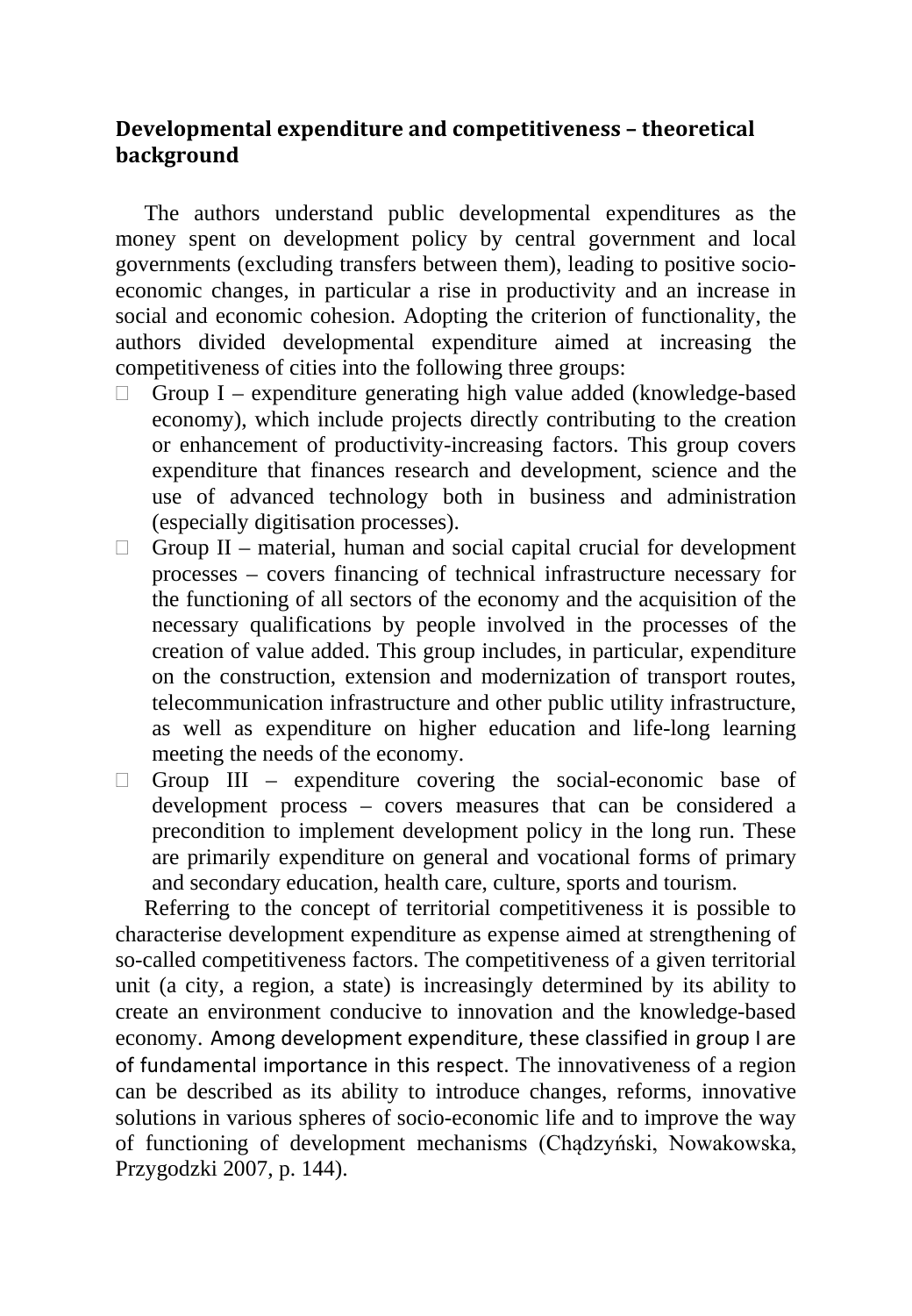### **Developmental expenditure and competitiveness – theoretical background**

The authors understand public developmental expenditures as the money spent on development policy by central government and local governments (excluding transfers between them), leading to positive socioeconomic changes, in particular a rise in productivity and an increase in social and economic cohesion. Adopting the criterion of functionality, the authors divided developmental expenditure aimed at increasing the competitiveness of cities into the following three groups:

- $\Box$  Group I expenditure generating high value added (knowledge-based economy), which include projects directly contributing to the creation or enhancement of productivity-increasing factors. This group covers expenditure that finances research and development, science and the use of advanced technology both in business and administration (especially digitisation processes).
- $\Box$  Group II material, human and social capital crucial for development processes – covers financing of technical infrastructure necessary for the functioning of all sectors of the economy and the acquisition of the necessary qualifications by people involved in the processes of the creation of value added. This group includes, in particular, expenditure on the construction, extension and modernization of transport routes, telecommunication infrastructure and other public utility infrastructure, as well as expenditure on higher education and life-long learning meeting the needs of the economy.
- $\Box$  Group III expenditure covering the social-economic base of development process – covers measures that can be considered a precondition to implement development policy in the long run. These are primarily expenditure on general and vocational forms of primary and secondary education, health care, culture, sports and tourism.

Referring to the concept of territorial competitiveness it is possible to characterise development expenditure as expense aimed at strengthening of so-called competitiveness factors. The competitiveness of a given territorial unit (a city, a region, a state) is increasingly determined by its ability to create an environment conducive to innovation and the knowledge-based economy. Among development expenditure, these classified in group I are of fundamental importance in this respect. The innovativeness of a region can be described as its ability to introduce changes, reforms, innovative solutions in various spheres of socio-economic life and to improve the way of functioning of development mechanisms (Chądzyński, Nowakowska, Przygodzki 2007, p. 144).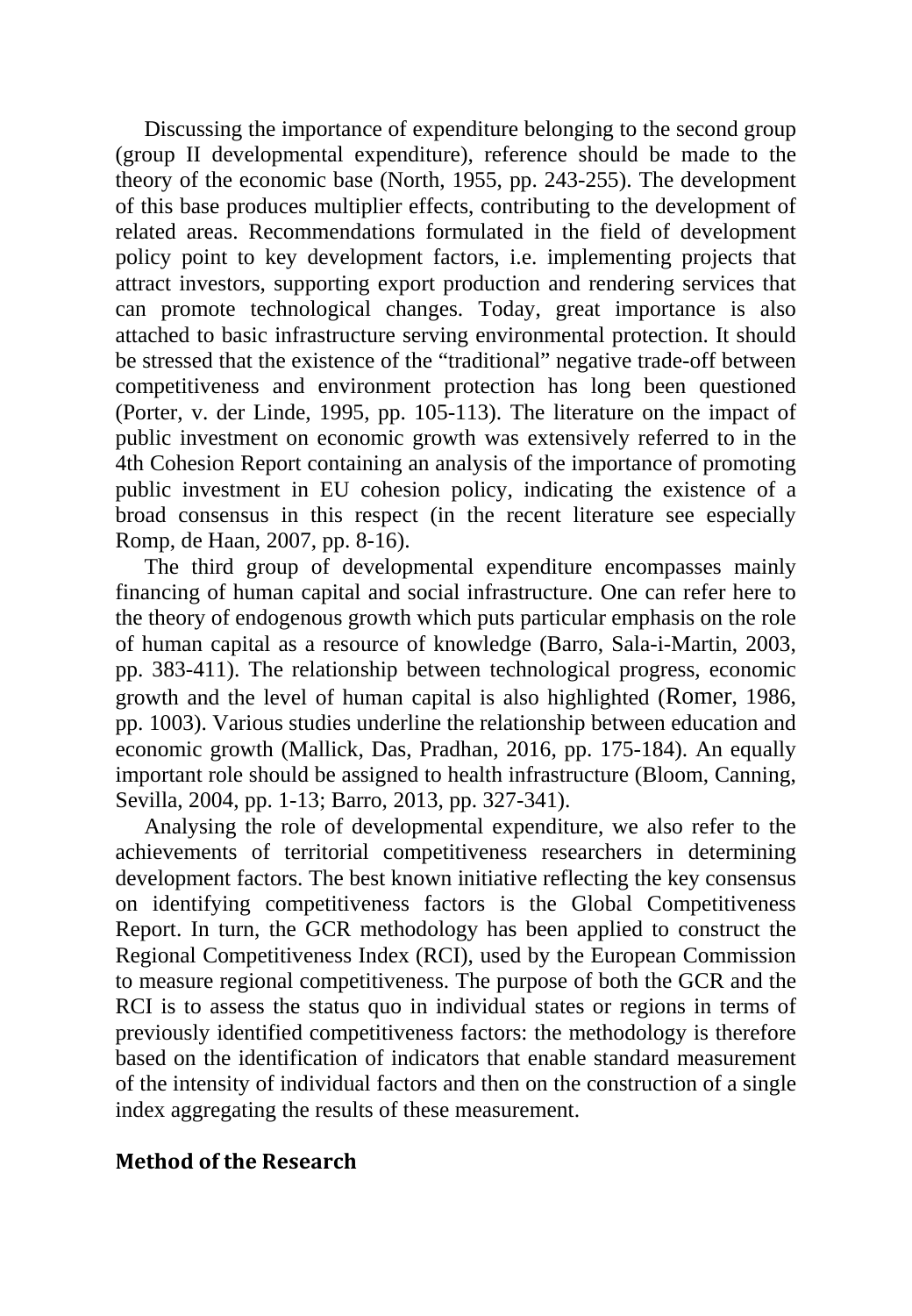Discussing the importance of expenditure belonging to the second group (group II developmental expenditure), reference should be made to the theory of the economic base (North, 1955, pp. 243-255). The development of this base produces multiplier effects, contributing to the development of related areas. Recommendations formulated in the field of development policy point to key development factors, i.e. implementing projects that attract investors, supporting export production and rendering services that can promote technological changes. Today, great importance is also attached to basic infrastructure serving environmental protection. It should be stressed that the existence of the "traditional" negative trade-off between competitiveness and environment protection has long been questioned (Porter, v. der Linde, 1995, pp. 105-113). The literature on the impact of public investment on economic growth was extensively referred to in the 4th Cohesion Report containing an analysis of the importance of promoting public investment in EU cohesion policy, indicating the existence of a broad consensus in this respect (in the recent literature see especially Romp, de Haan, 2007, pp. 8-16).

The third group of developmental expenditure encompasses mainly financing of human capital and social infrastructure. One can refer here to the theory of endogenous growth which puts particular emphasis on the role of human capital as a resource of knowledge (Barro, Sala-i-Martin, 2003, pp. 383-411). The relationship between technological progress, economic growth and the level of human capital is also highlighted (Romer, 1986, pp. 1003). Various studies underline the relationship between education and economic growth (Mallick, Das, Pradhan, 2016, pp. 175-184). An equally important role should be assigned to health infrastructure (Bloom, Canning, Sevilla, 2004, pp. 1-13; Barro, 2013, pp. 327-341).

Analysing the role of developmental expenditure, we also refer to the achievements of territorial competitiveness researchers in determining development factors. The best known initiative reflecting the key consensus on identifying competitiveness factors is the Global Competitiveness Report. In turn, the GCR methodology has been applied to construct the Regional Competitiveness Index (RCI), used by the European Commission to measure regional competitiveness. The purpose of both the GCR and the RCI is to assess the status quo in individual states or regions in terms of previously identified competitiveness factors: the methodology is therefore based on the identification of indicators that enable standard measurement of the intensity of individual factors and then on the construction of a single index aggregating the results of these measurement.

#### **Method of the Research**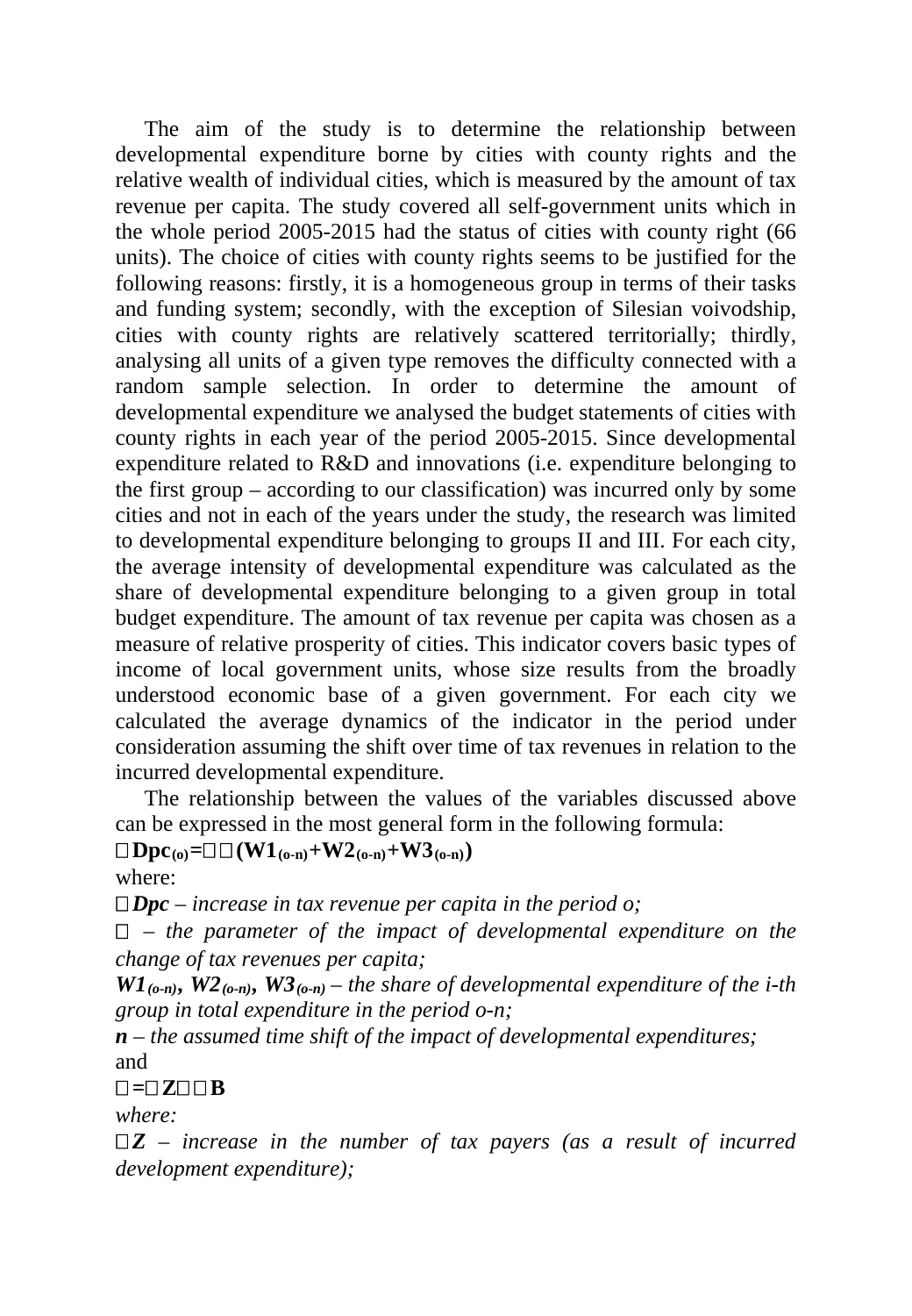The aim of the study is to determine the relationship between developmental expenditure borne by cities with county rights and the relative wealth of individual cities, which is measured by the amount of tax revenue per capita. The study covered all self-government units which in the whole period 2005-2015 had the status of cities with county right (66 units). The choice of cities with county rights seems to be justified for the following reasons: firstly, it is a homogeneous group in terms of their tasks and funding system; secondly, with the exception of Silesian voivodship, cities with county rights are relatively scattered territorially; thirdly, analysing all units of a given type removes the difficulty connected with a random sample selection. In order to determine the amount of developmental expenditure we analysed the budget statements of cities with county rights in each year of the period 2005-2015. Since developmental expenditure related to R&D and innovations (i.e. expenditure belonging to the first group – according to our classification) was incurred only by some cities and not in each of the years under the study, the research was limited to developmental expenditure belonging to groups II and III. For each city, the average intensity of developmental expenditure was calculated as the share of developmental expenditure belonging to a given group in total budget expenditure. The amount of tax revenue per capita was chosen as a measure of relative prosperity of cities. This indicator covers basic types of income of local government units, whose size results from the broadly understood economic base of a given government. For each city we calculated the average dynamics of the indicator in the period under consideration assuming the shift over time of tax revenues in relation to the incurred developmental expenditure.

The relationship between the values of the variables discussed above can be expressed in the most general form in the following formula:

#### $\Box$  **Dpc**<sub>(0</sub>)= $\Box$   $\Box$  **(W1**<sub>(0-n)</sub>+**W2**<sub>(0-n)</sub>+**W3**<sub>(0-n)</sub>)

where:

*Dpc – increase in tax revenue per capita in the period o;*

 *– the parameter of the impact of developmental expenditure on the change of tax revenues per capita;*

 $WI_{(o-n)}$ ,  $W2_{(o-n)}$ ,  $W3_{(o-n)}$  – the share of developmental expenditure of the *i*-th *group in total expenditure in the period o-n;* 

*n – the assumed time shift of the impact of developmental expenditures;* and

## **=Z B**

*where:*

 $\Box Z$  – *increase in the number of tax payers (as a result of incurred development expenditure);*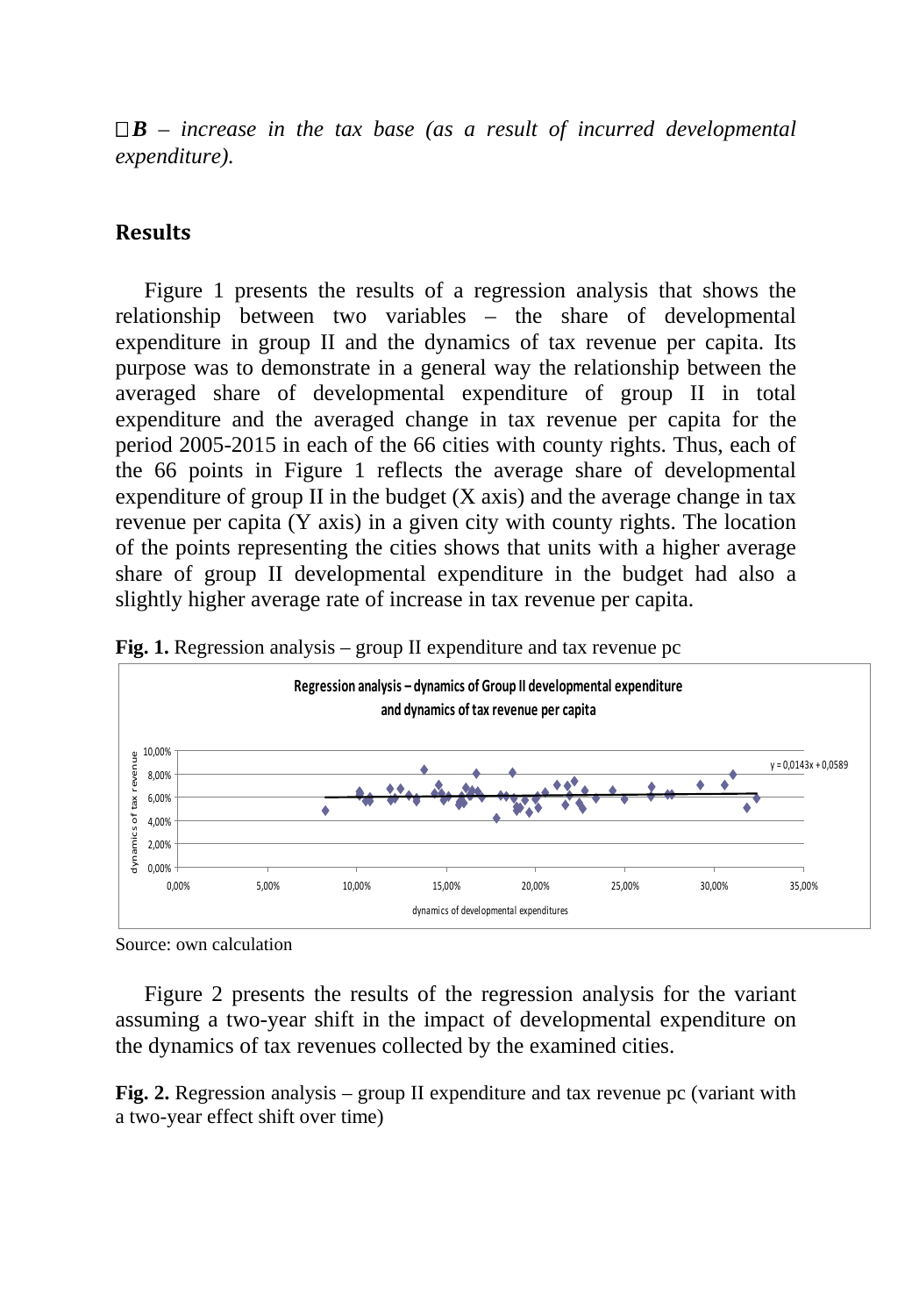$\Box$ **B** – *increase in the tax base (as a result of incurred developmental expenditure).*

### **Results**

Figure 1 presents the results of a regression analysis that shows the relationship between two variables – the share of developmental expenditure in group II and the dynamics of tax revenue per capita. Its purpose was to demonstrate in a general way the relationship between the averaged share of developmental expenditure of group II in total expenditure and the averaged change in tax revenue per capita for the period 2005-2015 in each of the 66 cities with county rights. Thus, each of the 66 points in Figure 1 reflects the average share of developmental expenditure of group II in the budget  $(X \text{ axis})$  and the average change in tax revenue per capita (Y axis) in a given city with county rights. The location of the points representing the cities shows that units with a higher average share of group II developmental expenditure in the budget had also a slightly higher average rate of increase in tax revenue per capita.





Source: own calculation

Figure 2 presents the results of the regression analysis for the variant assuming a two-year shift in the impact of developmental expenditure on the dynamics of tax revenues collected by the examined cities.

**Fig. 2.** Regression analysis – group II expenditure and tax revenue pc (variant with a two-year effect shift over time)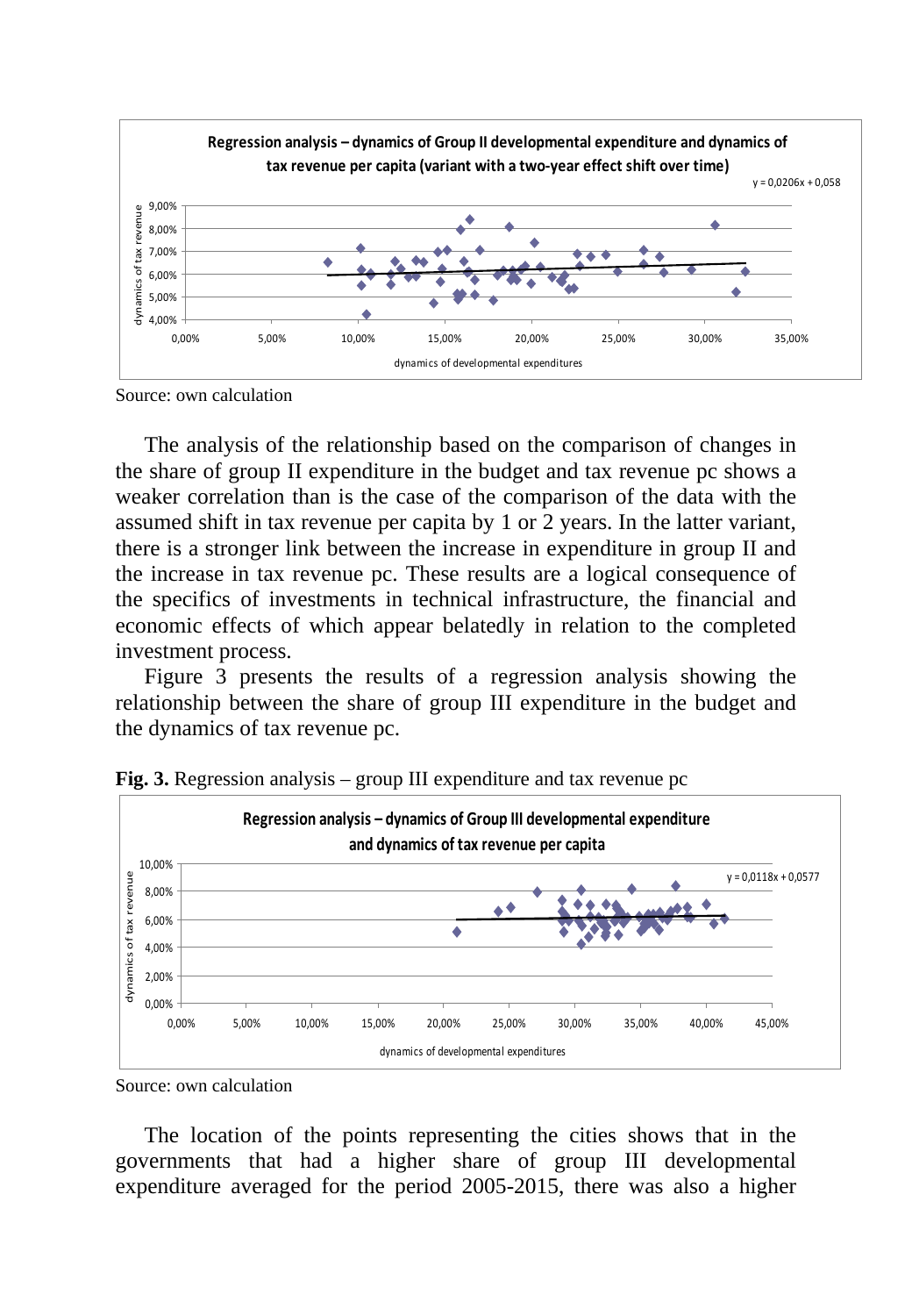

Source: own calculation

The analysis of the relationship based on the comparison of changes in the share of group II expenditure in the budget and tax revenue pc shows a weaker correlation than is the case of the comparison of the data with the assumed shift in tax revenue per capita by 1 or 2 years. In the latter variant, there is a stronger link between the increase in expenditure in group II and the increase in tax revenue pc. These results are a logical consequence of the specifics of investments in technical infrastructure, the financial and economic effects of which appear belatedly in relation to the completed investment process.

Figure 3 presents the results of a regression analysis showing the relationship between the share of group III expenditure in the budget and the dynamics of tax revenue pc.



**Fig. 3.** Regression analysis – group III expenditure and tax revenue pc

The location of the points representing the cities shows that in the governments that had a higher share of group III developmental expenditure averaged for the period 2005-2015, there was also a higher

Source: own calculation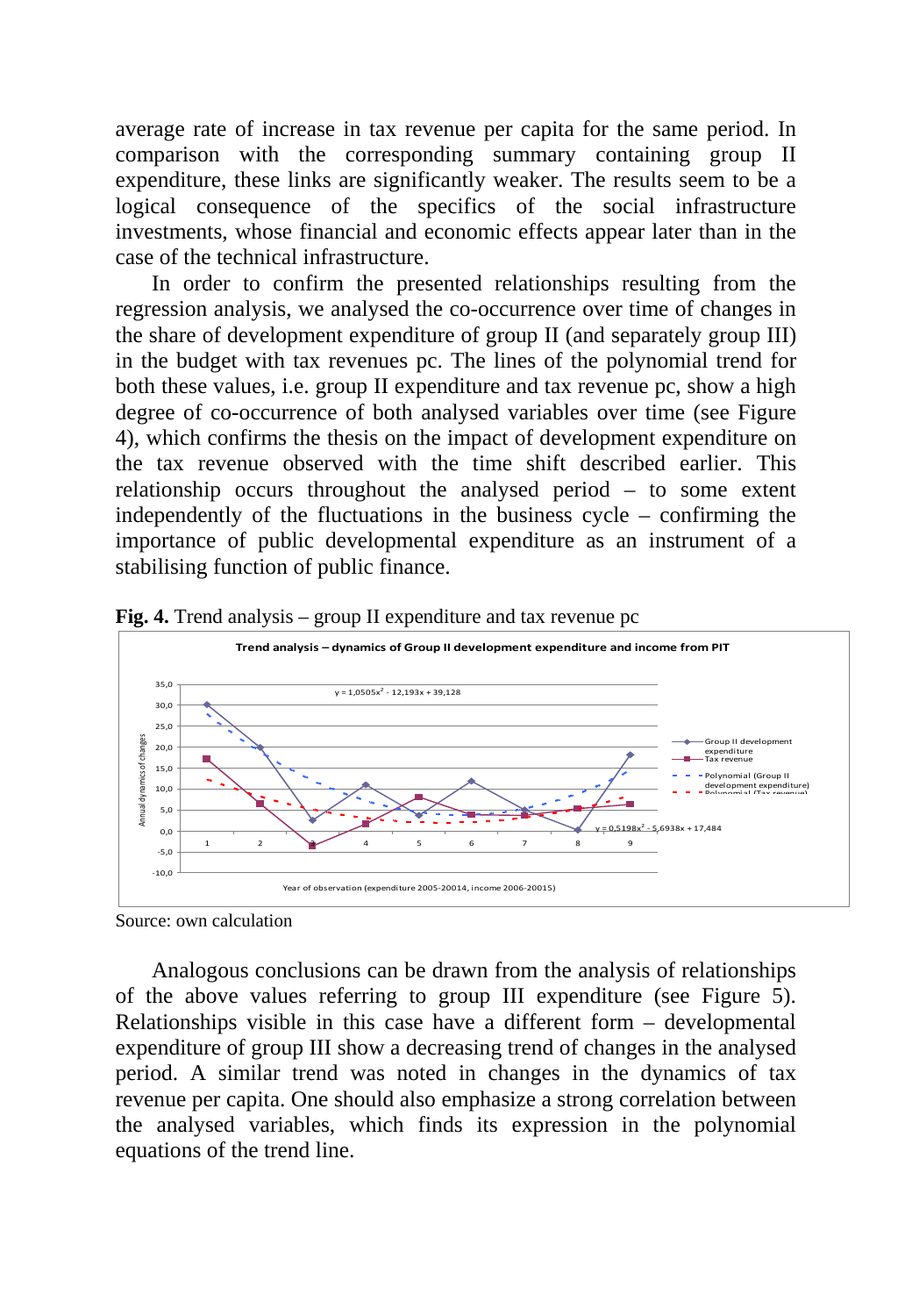average rate of increase in tax revenue per capita for the same period. In comparison with the corresponding summary containing group II expenditure, these links are significantly weaker. The results seem to be a logical consequence of the specifics of the social infrastructure investments, whose financial and economic effects appear later than in the case of the technical infrastructure.

In order to confirm the presented relationships resulting from the regression analysis, we analysed the co-occurrence over time of changes in the share of development expenditure of group II (and separately group III) in the budget with tax revenues pc. The lines of the polynomial trend for both these values, i.e. group II expenditure and tax revenue pc, show a high degree of co-occurrence of both analysed variables over time (see Figure 4), which confirms the thesis on the impact of development expenditure on the tax revenue observed with the time shift described earlier. This relationship occurs throughout the analysed period – to some extent independently of the fluctuations in the business cycle – confirming the importance of public developmental expenditure as an instrument of a stabilising function of public finance.



**Fig. 4.** Trend analysis – group II expenditure and tax revenue pc

Analogous conclusions can be drawn from the analysis of relationships of the above values referring to group III expenditure (see Figure 5). Relationships visible in this case have a different form – developmental expenditure of group III show a decreasing trend of changes in the analysed period. A similar trend was noted in changes in the dynamics of tax revenue per capita. One should also emphasize a strong correlation between the analysed variables, which finds its expression in the polynomial equations of the trend line.

Source: own calculation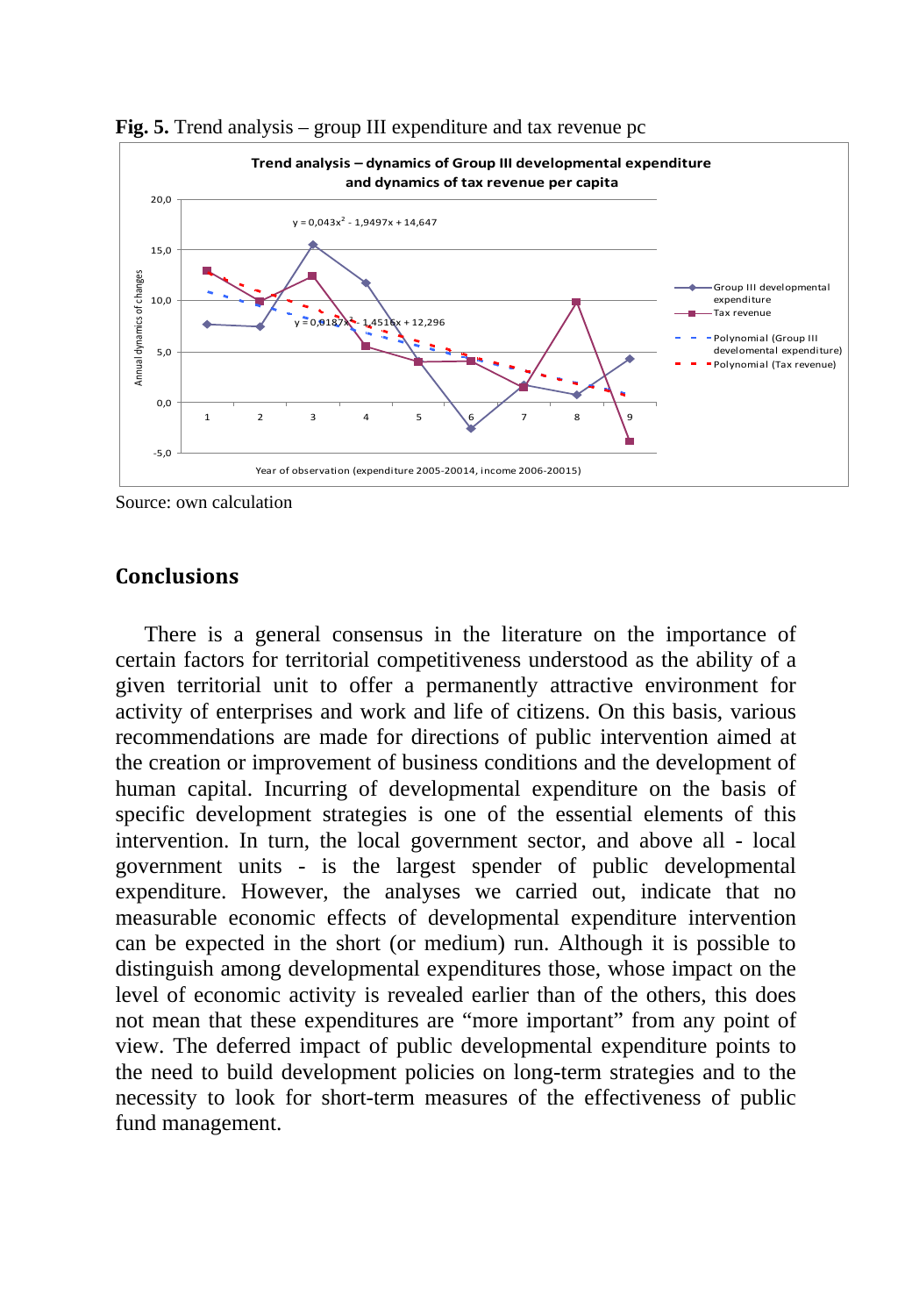

**Fig. 5.** Trend analysis – group III expenditure and tax revenue pc

Source: own calculation

#### **Conclusions**

There is a general consensus in the literature on the importance of certain factors for territorial competitiveness understood as the ability of a given territorial unit to offer a permanently attractive environment for activity of enterprises and work and life of citizens. On this basis, various recommendations are made for directions of public intervention aimed at the creation or improvement of business conditions and the development of human capital. Incurring of developmental expenditure on the basis of specific development strategies is one of the essential elements of this intervention. In turn, the local government sector, and above all - local government units - is the largest spender of public developmental expenditure. However, the analyses we carried out, indicate that no measurable economic effects of developmental expenditure intervention can be expected in the short (or medium) run. Although it is possible to distinguish among developmental expenditures those, whose impact on the level of economic activity is revealed earlier than of the others, this does not mean that these expenditures are "more important" from any point of view. The deferred impact of public developmental expenditure points to the need to build development policies on long-term strategies and to the necessity to look for short-term measures of the effectiveness of public fund management.